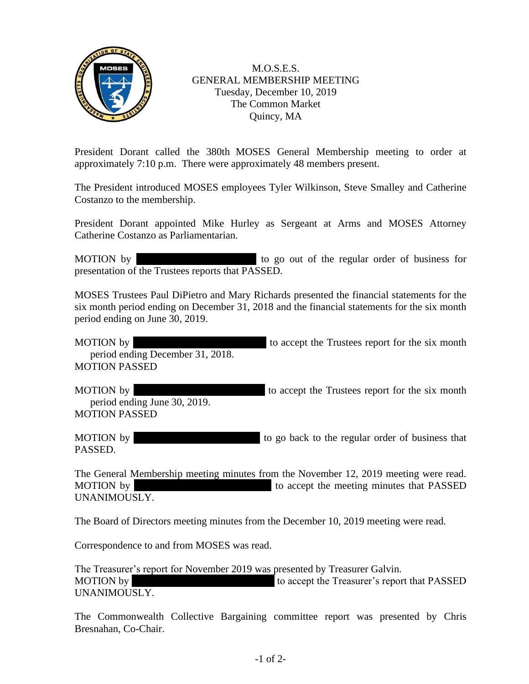

M.O.S.E.S. GENERAL MEMBERSHIP MEETING Tuesday, December 10, 2019 The Common Market Quincy, MA

President Dorant called the 380th MOSES General Membership meeting to order at approximately 7:10 p.m. There were approximately 48 members present.

The President introduced MOSES employees Tyler Wilkinson, Steve Smalley and Catherine Costanzo to the membership.

President Dorant appointed Mike Hurley as Sergeant at Arms and MOSES Attorney Catherine Costanzo as Parliamentarian.

MOTION by **Pattern 2018** to go out of the regular order of business for presentation of the Trustees reports that PASSED.

MOSES Trustees Paul DiPietro and Mary Richards presented the financial statements for the six month period ending on December 31, 2018 and the financial statements for the six month period ending on June 30, 2019.

MOTION by  $\blacksquare$  to accept the Trustees report for the six month period ending December 31, 2018. MOTION PASSED

MOTION by  $\blacksquare$  to accept the Trustees report for the six month period ending June 30, 2019. MOTION PASSED

MOTION by  $\blacksquare$  to go back to the regular order of business that PASSED.

The General Membership meeting minutes from the November 12, 2019 meeting were read. MOTION by Tom Prendict accept the meeting minutes that PASSED UNANIMOUSLY.

The Board of Directors meeting minutes from the December 10, 2019 meeting were read.

Correspondence to and from MOSES was read.

The Treasurer's report for November 2019 was presented by Treasurer Galvin. MOTION by Tom Prendergast 10 accept the Treasurer's report that PASSED UNANIMOUSLY.

The Commonwealth Collective Bargaining committee report was presented by Chris Bresnahan, Co-Chair.